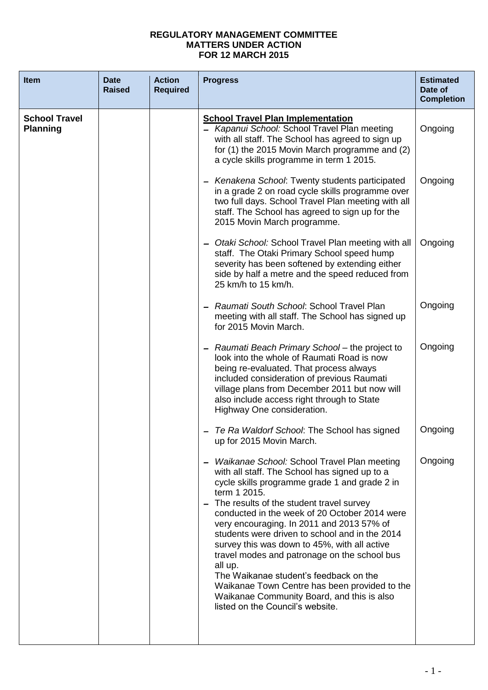## **REGULATORY MANAGEMENT COMMITTEE MATTERS UNDER ACTION FOR 12 MARCH 2015**

| <b>Item</b>                             | <b>Date</b><br><b>Raised</b> | <b>Action</b><br><b>Required</b> | <b>Progress</b>                                                                                                                                                                                                                                                                                                                                                                                                                                                                                                                                                                                                                                       | <b>Estimated</b><br>Date of<br><b>Completion</b> |
|-----------------------------------------|------------------------------|----------------------------------|-------------------------------------------------------------------------------------------------------------------------------------------------------------------------------------------------------------------------------------------------------------------------------------------------------------------------------------------------------------------------------------------------------------------------------------------------------------------------------------------------------------------------------------------------------------------------------------------------------------------------------------------------------|--------------------------------------------------|
| <b>School Travel</b><br><b>Planning</b> |                              |                                  | <b>School Travel Plan Implementation</b><br>- Kapanui School: School Travel Plan meeting<br>with all staff. The School has agreed to sign up<br>for (1) the 2015 Movin March programme and (2)<br>a cycle skills programme in term 1 2015.                                                                                                                                                                                                                                                                                                                                                                                                            | Ongoing                                          |
|                                         |                              |                                  | - Kenakena School: Twenty students participated<br>in a grade 2 on road cycle skills programme over<br>two full days. School Travel Plan meeting with all<br>staff. The School has agreed to sign up for the<br>2015 Movin March programme.                                                                                                                                                                                                                                                                                                                                                                                                           | Ongoing                                          |
|                                         |                              |                                  | - Otaki School: School Travel Plan meeting with all<br>staff. The Otaki Primary School speed hump<br>severity has been softened by extending either<br>side by half a metre and the speed reduced from<br>25 km/h to 15 km/h.                                                                                                                                                                                                                                                                                                                                                                                                                         | Ongoing                                          |
|                                         |                              |                                  | Raumati South School: School Travel Plan<br>meeting with all staff. The School has signed up<br>for 2015 Movin March.                                                                                                                                                                                                                                                                                                                                                                                                                                                                                                                                 | Ongoing                                          |
|                                         |                              |                                  | - Raumati Beach Primary School - the project to<br>look into the whole of Raumati Road is now<br>being re-evaluated. That process always<br>included consideration of previous Raumati<br>village plans from December 2011 but now will<br>also include access right through to State<br>Highway One consideration.                                                                                                                                                                                                                                                                                                                                   | Ongoing                                          |
|                                         |                              |                                  | Te Ra Waldorf School: The School has signed<br>up for 2015 Movin March.                                                                                                                                                                                                                                                                                                                                                                                                                                                                                                                                                                               | Ongoing                                          |
|                                         |                              |                                  | - Waikanae School: School Travel Plan meeting<br>with all staff. The School has signed up to a<br>cycle skills programme grade 1 and grade 2 in<br>term 1 2015.<br>- The results of the student travel survey<br>conducted in the week of 20 October 2014 were<br>very encouraging. In 2011 and 2013 57% of<br>students were driven to school and in the 2014<br>survey this was down to 45%, with all active<br>travel modes and patronage on the school bus<br>all up.<br>The Waikanae student's feedback on the<br>Waikanae Town Centre has been provided to the<br>Waikanae Community Board, and this is also<br>listed on the Council's website. | Ongoing                                          |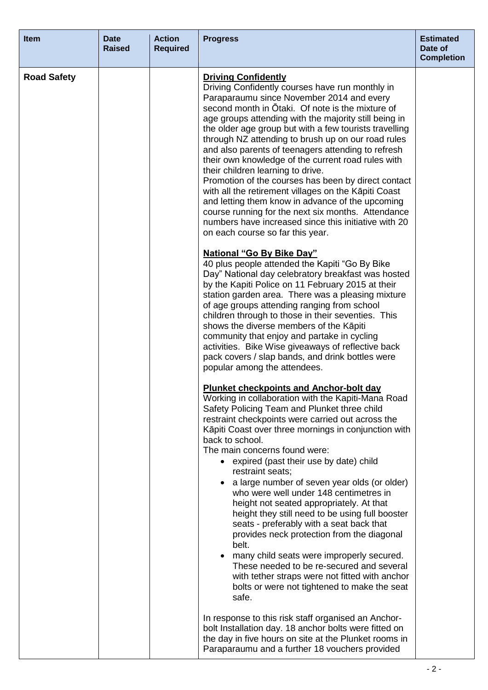| <b>Item</b>        | <b>Date</b><br><b>Raised</b> | <b>Action</b><br><b>Required</b> | <b>Progress</b>                                                                                                                                                                                                                                                                                                                                                                                                                                                                                                                                                                                                                                                                                                                                                                                                                                                                                                                                                                                                                                                                                                                                                                                                                                                                                                                                                                                                                                                                                                                                                                                                                                                                                                                                                                                                                                                                                                                                                                                                                                                                                                                                                                                                                                                                                                        | <b>Estimated</b><br>Date of<br><b>Completion</b> |
|--------------------|------------------------------|----------------------------------|------------------------------------------------------------------------------------------------------------------------------------------------------------------------------------------------------------------------------------------------------------------------------------------------------------------------------------------------------------------------------------------------------------------------------------------------------------------------------------------------------------------------------------------------------------------------------------------------------------------------------------------------------------------------------------------------------------------------------------------------------------------------------------------------------------------------------------------------------------------------------------------------------------------------------------------------------------------------------------------------------------------------------------------------------------------------------------------------------------------------------------------------------------------------------------------------------------------------------------------------------------------------------------------------------------------------------------------------------------------------------------------------------------------------------------------------------------------------------------------------------------------------------------------------------------------------------------------------------------------------------------------------------------------------------------------------------------------------------------------------------------------------------------------------------------------------------------------------------------------------------------------------------------------------------------------------------------------------------------------------------------------------------------------------------------------------------------------------------------------------------------------------------------------------------------------------------------------------------------------------------------------------------------------------------------------------|--------------------------------------------------|
| <b>Road Safety</b> |                              |                                  | <b>Driving Confidently</b><br>Driving Confidently courses have run monthly in<br>Paraparaumu since November 2014 and every<br>second month in Otaki. Of note is the mixture of<br>age groups attending with the majority still being in<br>the older age group but with a few tourists travelling<br>through NZ attending to brush up on our road rules<br>and also parents of teenagers attending to refresh<br>their own knowledge of the current road rules with<br>their children learning to drive.<br>Promotion of the courses has been by direct contact<br>with all the retirement villages on the Kāpiti Coast<br>and letting them know in advance of the upcoming<br>course running for the next six months. Attendance<br>numbers have increased since this initiative with 20<br>on each course so far this year.<br><b>National "Go By Bike Day"</b><br>40 plus people attended the Kapiti "Go By Bike<br>Day" National day celebratory breakfast was hosted<br>by the Kapiti Police on 11 February 2015 at their<br>station garden area. There was a pleasing mixture<br>of age groups attending ranging from school<br>children through to those in their seventies. This<br>shows the diverse members of the Kāpiti<br>community that enjoy and partake in cycling<br>activities. Bike Wise giveaways of reflective back<br>pack covers / slap bands, and drink bottles were<br>popular among the attendees.<br><b>Plunket checkpoints and Anchor-bolt day</b><br>Working in collaboration with the Kapiti-Mana Road<br>Safety Policing Team and Plunket three child<br>restraint checkpoints were carried out across the<br>Kāpiti Coast over three mornings in conjunction with<br>back to school.<br>The main concerns found were:<br>• expired (past their use by date) child<br>restraint seats;<br>a large number of seven year olds (or older)<br>who were well under 148 centimetres in<br>height not seated appropriately. At that<br>height they still need to be using full booster<br>seats - preferably with a seat back that<br>provides neck protection from the diagonal<br>belt.<br>many child seats were improperly secured.<br>These needed to be re-secured and several<br>with tether straps were not fitted with anchor<br>bolts or were not tightened to make the seat<br>safe. |                                                  |
|                    |                              |                                  | In response to this risk staff organised an Anchor-<br>bolt Installation day. 18 anchor bolts were fitted on<br>the day in five hours on site at the Plunket rooms in<br>Paraparaumu and a further 18 vouchers provided                                                                                                                                                                                                                                                                                                                                                                                                                                                                                                                                                                                                                                                                                                                                                                                                                                                                                                                                                                                                                                                                                                                                                                                                                                                                                                                                                                                                                                                                                                                                                                                                                                                                                                                                                                                                                                                                                                                                                                                                                                                                                                |                                                  |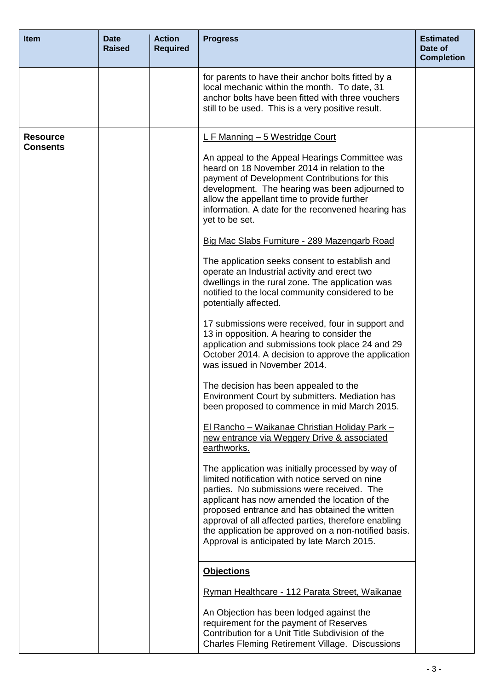| <b>Item</b>                        | <b>Date</b><br><b>Raised</b> | <b>Action</b><br><b>Required</b> | <b>Progress</b>                                                                                                                                                                                                                                                                                                                                                                                                      | <b>Estimated</b><br>Date of<br><b>Completion</b> |
|------------------------------------|------------------------------|----------------------------------|----------------------------------------------------------------------------------------------------------------------------------------------------------------------------------------------------------------------------------------------------------------------------------------------------------------------------------------------------------------------------------------------------------------------|--------------------------------------------------|
|                                    |                              |                                  | for parents to have their anchor bolts fitted by a<br>local mechanic within the month. To date, 31<br>anchor bolts have been fitted with three vouchers<br>still to be used. This is a very positive result.                                                                                                                                                                                                         |                                                  |
| <b>Resource</b><br><b>Consents</b> |                              |                                  | L F Manning - 5 Westridge Court                                                                                                                                                                                                                                                                                                                                                                                      |                                                  |
|                                    |                              |                                  | An appeal to the Appeal Hearings Committee was<br>heard on 18 November 2014 in relation to the<br>payment of Development Contributions for this<br>development. The hearing was been adjourned to<br>allow the appellant time to provide further<br>information. A date for the reconvened hearing has<br>yet to be set.                                                                                             |                                                  |
|                                    |                              |                                  | Big Mac Slabs Furniture - 289 Mazengarb Road                                                                                                                                                                                                                                                                                                                                                                         |                                                  |
|                                    |                              |                                  | The application seeks consent to establish and<br>operate an Industrial activity and erect two<br>dwellings in the rural zone. The application was<br>notified to the local community considered to be<br>potentially affected.                                                                                                                                                                                      |                                                  |
|                                    |                              |                                  | 17 submissions were received, four in support and<br>13 in opposition. A hearing to consider the<br>application and submissions took place 24 and 29<br>October 2014. A decision to approve the application<br>was issued in November 2014.                                                                                                                                                                          |                                                  |
|                                    |                              |                                  | The decision has been appealed to the<br>Environment Court by submitters. Mediation has<br>been proposed to commence in mid March 2015.                                                                                                                                                                                                                                                                              |                                                  |
|                                    |                              |                                  | <u> El Rancho – Waikanae Christian Holiday Park –</u><br>new entrance via Weggery Drive & associated<br>earthworks.                                                                                                                                                                                                                                                                                                  |                                                  |
|                                    |                              |                                  | The application was initially processed by way of<br>limited notification with notice served on nine<br>parties. No submissions were received. The<br>applicant has now amended the location of the<br>proposed entrance and has obtained the written<br>approval of all affected parties, therefore enabling<br>the application be approved on a non-notified basis.<br>Approval is anticipated by late March 2015. |                                                  |
|                                    |                              |                                  | <b>Objections</b>                                                                                                                                                                                                                                                                                                                                                                                                    |                                                  |
|                                    |                              |                                  | Ryman Healthcare - 112 Parata Street, Waikanae                                                                                                                                                                                                                                                                                                                                                                       |                                                  |
|                                    |                              |                                  | An Objection has been lodged against the<br>requirement for the payment of Reserves<br>Contribution for a Unit Title Subdivision of the<br><b>Charles Fleming Retirement Village. Discussions</b>                                                                                                                                                                                                                    |                                                  |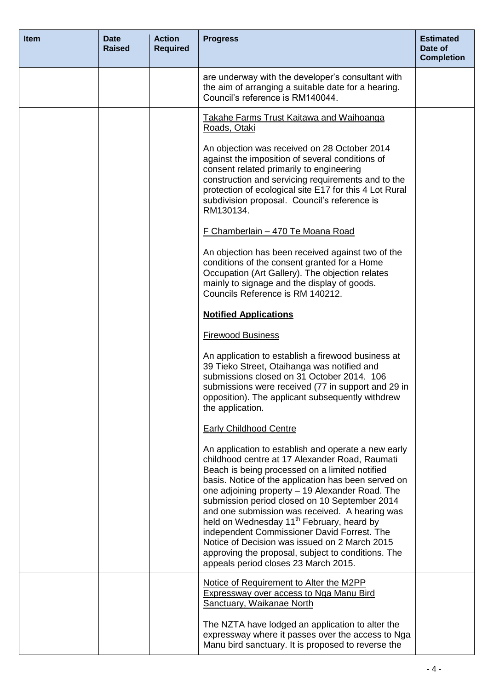| <b>Item</b> | <b>Date</b><br><b>Raised</b> | <b>Action</b><br><b>Required</b> | <b>Progress</b>                                                                                                                                                                                                                                                                                                                                                                                                                                                                                                                                                                                                             | <b>Estimated</b><br>Date of<br><b>Completion</b> |
|-------------|------------------------------|----------------------------------|-----------------------------------------------------------------------------------------------------------------------------------------------------------------------------------------------------------------------------------------------------------------------------------------------------------------------------------------------------------------------------------------------------------------------------------------------------------------------------------------------------------------------------------------------------------------------------------------------------------------------------|--------------------------------------------------|
|             |                              |                                  | are underway with the developer's consultant with<br>the aim of arranging a suitable date for a hearing.<br>Council's reference is RM140044.                                                                                                                                                                                                                                                                                                                                                                                                                                                                                |                                                  |
|             |                              |                                  | <b>Takahe Farms Trust Kaitawa and Waihoanga</b><br>Roads, Otaki                                                                                                                                                                                                                                                                                                                                                                                                                                                                                                                                                             |                                                  |
|             |                              |                                  | An objection was received on 28 October 2014<br>against the imposition of several conditions of<br>consent related primarily to engineering<br>construction and servicing requirements and to the<br>protection of ecological site E17 for this 4 Lot Rural<br>subdivision proposal. Council's reference is<br>RM130134.                                                                                                                                                                                                                                                                                                    |                                                  |
|             |                              |                                  | F Chamberlain - 470 Te Moana Road                                                                                                                                                                                                                                                                                                                                                                                                                                                                                                                                                                                           |                                                  |
|             |                              |                                  | An objection has been received against two of the<br>conditions of the consent granted for a Home<br>Occupation (Art Gallery). The objection relates<br>mainly to signage and the display of goods.<br>Councils Reference is RM 140212.                                                                                                                                                                                                                                                                                                                                                                                     |                                                  |
|             |                              |                                  | <b>Notified Applications</b>                                                                                                                                                                                                                                                                                                                                                                                                                                                                                                                                                                                                |                                                  |
|             |                              |                                  | Firewood Business                                                                                                                                                                                                                                                                                                                                                                                                                                                                                                                                                                                                           |                                                  |
|             |                              |                                  | An application to establish a firewood business at<br>39 Tieko Street, Otaihanga was notified and<br>submissions closed on 31 October 2014. 106<br>submissions were received (77 in support and 29 in<br>opposition). The applicant subsequently withdrew<br>the application.                                                                                                                                                                                                                                                                                                                                               |                                                  |
|             |                              |                                  | <b>Early Childhood Centre</b>                                                                                                                                                                                                                                                                                                                                                                                                                                                                                                                                                                                               |                                                  |
|             |                              |                                  | An application to establish and operate a new early<br>childhood centre at 17 Alexander Road, Raumati<br>Beach is being processed on a limited notified<br>basis. Notice of the application has been served on<br>one adjoining property - 19 Alexander Road. The<br>submission period closed on 10 September 2014<br>and one submission was received. A hearing was<br>held on Wednesday 11 <sup>th</sup> February, heard by<br>independent Commissioner David Forrest. The<br>Notice of Decision was issued on 2 March 2015<br>approving the proposal, subject to conditions. The<br>appeals period closes 23 March 2015. |                                                  |
|             |                              |                                  | Notice of Requirement to Alter the M2PP<br><b>Expressway over access to Nga Manu Bird</b><br>Sanctuary, Waikanae North                                                                                                                                                                                                                                                                                                                                                                                                                                                                                                      |                                                  |
|             |                              |                                  | The NZTA have lodged an application to alter the<br>expressway where it passes over the access to Nga<br>Manu bird sanctuary. It is proposed to reverse the                                                                                                                                                                                                                                                                                                                                                                                                                                                                 |                                                  |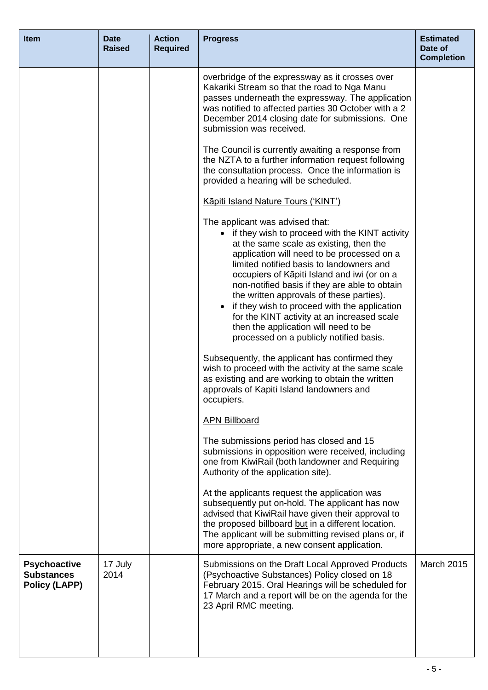| <b>Item</b>                                                      | <b>Date</b><br><b>Raised</b> | <b>Action</b><br><b>Required</b> | <b>Progress</b>                                                                                                                                                                                                                                                                                                                                                                                                                                                                                                                                                                                                                                                                                                                                                                                                                                                                                                                                                                                                                                                                                                                                                                                                                                                                                                                 | <b>Estimated</b><br>Date of<br><b>Completion</b> |
|------------------------------------------------------------------|------------------------------|----------------------------------|---------------------------------------------------------------------------------------------------------------------------------------------------------------------------------------------------------------------------------------------------------------------------------------------------------------------------------------------------------------------------------------------------------------------------------------------------------------------------------------------------------------------------------------------------------------------------------------------------------------------------------------------------------------------------------------------------------------------------------------------------------------------------------------------------------------------------------------------------------------------------------------------------------------------------------------------------------------------------------------------------------------------------------------------------------------------------------------------------------------------------------------------------------------------------------------------------------------------------------------------------------------------------------------------------------------------------------|--------------------------------------------------|
|                                                                  |                              |                                  | overbridge of the expressway as it crosses over<br>Kakariki Stream so that the road to Nga Manu<br>passes underneath the expressway. The application<br>was notified to affected parties 30 October with a 2<br>December 2014 closing date for submissions. One<br>submission was received.<br>The Council is currently awaiting a response from<br>the NZTA to a further information request following<br>the consultation process. Once the information is<br>provided a hearing will be scheduled.<br>Kāpiti Island Nature Tours ('KINT')<br>The applicant was advised that:<br>• if they wish to proceed with the KINT activity<br>at the same scale as existing, then the<br>application will need to be processed on a<br>limited notified basis to landowners and<br>occupiers of Kāpiti Island and iwi (or on a<br>non-notified basis if they are able to obtain<br>the written approvals of these parties).<br>if they wish to proceed with the application<br>for the KINT activity at an increased scale<br>then the application will need to be<br>processed on a publicly notified basis.<br>Subsequently, the applicant has confirmed they<br>wish to proceed with the activity at the same scale<br>as existing and are working to obtain the written<br>approvals of Kapiti Island landowners and<br>occupiers. |                                                  |
|                                                                  |                              |                                  | <b>APN Billboard</b><br>The submissions period has closed and 15<br>submissions in opposition were received, including<br>one from KiwiRail (both landowner and Requiring<br>Authority of the application site).<br>At the applicants request the application was<br>subsequently put on-hold. The applicant has now<br>advised that KiwiRail have given their approval to<br>the proposed billboard but in a different location.<br>The applicant will be submitting revised plans or, if<br>more appropriate, a new consent application.                                                                                                                                                                                                                                                                                                                                                                                                                                                                                                                                                                                                                                                                                                                                                                                      |                                                  |
| <b>Psychoactive</b><br><b>Substances</b><br><b>Policy (LAPP)</b> | 17 July<br>2014              |                                  | Submissions on the Draft Local Approved Products<br>(Psychoactive Substances) Policy closed on 18<br>February 2015. Oral Hearings will be scheduled for<br>17 March and a report will be on the agenda for the<br>23 April RMC meeting.                                                                                                                                                                                                                                                                                                                                                                                                                                                                                                                                                                                                                                                                                                                                                                                                                                                                                                                                                                                                                                                                                         | <b>March 2015</b>                                |